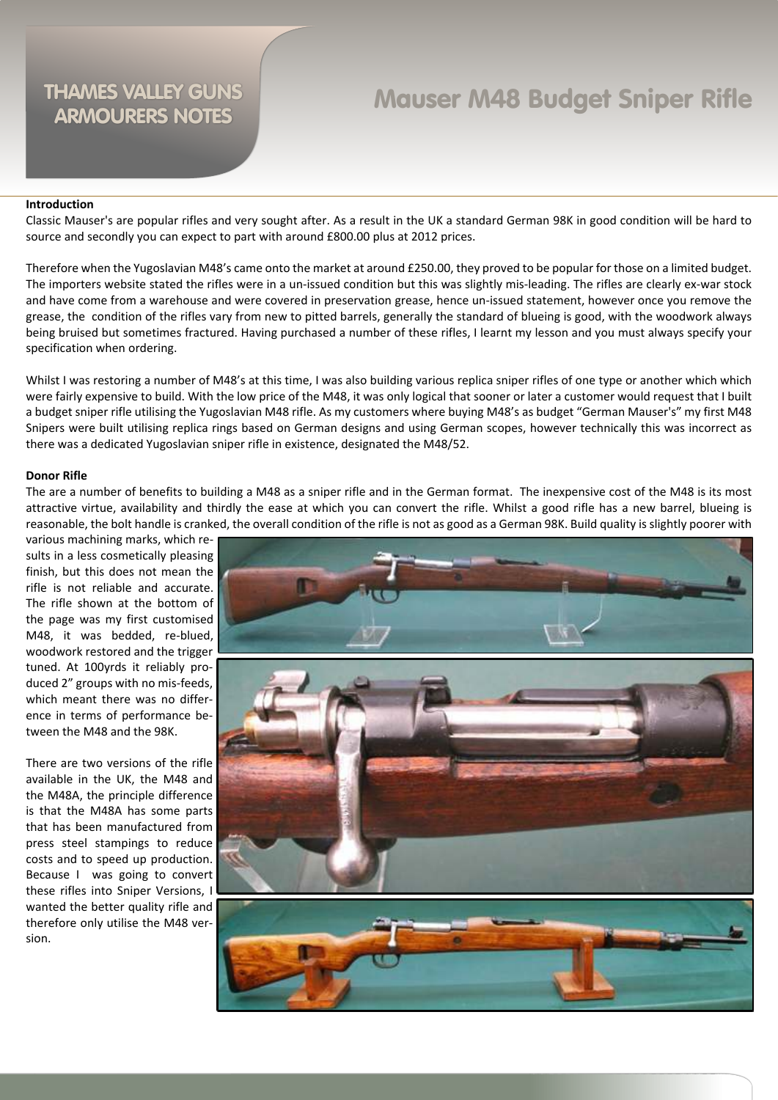## Mauser M48 Budget Sniper Rifle

#### **Introduction**

Classic Mauser's are popular rifles and very sought after. As a result in the UK a standard German 98K in good condition will be hard to source and secondly you can expect to part with around £800.00 plus at 2012 prices.

Therefore when the Yugoslavian M48's came onto the market at around £250.00, they proved to be popular for those on a limited budget. The importers website stated the rifles were in a un-issued condition but this was slightly mis-leading. The rifles are clearly ex-war stock and have come from a warehouse and were covered in preservation grease, hence un-issued statement, however once you remove the grease, the condition of the rifles vary from new to pitted barrels, generally the standard of blueing is good, with the woodwork always being bruised but sometimes fractured. Having purchased a number of these rifles, I learnt my lesson and you must always specify your specification when ordering.

Whilst I was restoring a number of M48's at this time, I was also building various replica sniper rifles of one type or another which which were fairly expensive to build. With the low price of the M48, it was only logical that sooner or later a customer would request that I built a budget sniper rifle utilising the Yugoslavian M48 rifle. As my customers where buying M48's as budget "German Mauser's" my first M48 Snipers were built utilising replica rings based on German designs and using German scopes, however technically this was incorrect as there was a dedicated Yugoslavian sniper rifle in existence, designated the M48/52.

#### **Donor Rifle**

The are a number of benefits to building a M48 as a sniper rifle and in the German format. The inexpensive cost of the M48 is its most attractive virtue, availability and thirdly the ease at which you can convert the rifle. Whilst a good rifle has a new barrel, blueing is reasonable, the bolt handle is cranked, the overall condition of the rifle is not as good as a German 98K. Build quality is slightly poorer with

various machining marks, which results in a less cosmetically pleasing finish, but this does not mean the rifle is not reliable and accurate. The rifle shown at the bottom of the page was my first customised M48, it was bedded, re-blued, woodwork restored and the trigger tuned. At 100yrds it reliably produced 2" groups with no mis-feeds, which meant there was no difference in terms of performance between the M48 and the 98K.

There are two versions of the rifle available in the UK, the M48 and the M48A, the principle difference is that the M48A has some parts that has been manufactured from press steel stampings to reduce costs and to speed up production. Because I was going to convert these rifles into Sniper Versions, I wanted the better quality rifle and therefore only utilise the M48 version.

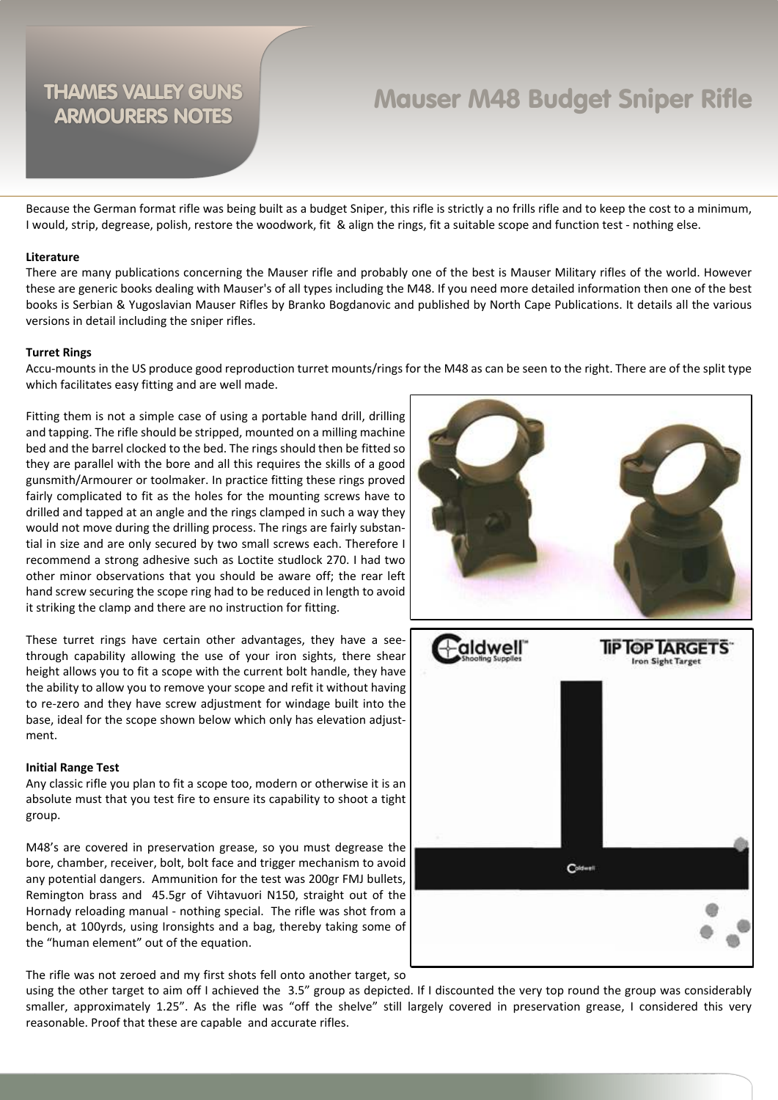## Mauser M48 Budget Sniper Rifle

Because the German format rifle was being built as a budget Sniper, this rifle is strictly a no frills rifle and to keep the cost to a minimum, I would, strip, degrease, polish, restore the woodwork, fit & align the rings, fit a suitable scope and function test - nothing else.

#### **Literature**

There are many publications concerning the Mauser rifle and probably one of the best is Mauser Military rifles of the world. However these are generic books dealing with Mauser's of all types including the M48. If you need more detailed information then one of the best books is Serbian & Yugoslavian Mauser Rifles by Branko Bogdanovic and published by North Cape Publications. It details all the various versions in detail including the sniper rifles.

#### **Turret Rings**

Accu-mounts in the US produce good reproduction turret mounts/rings for the M48 as can be seen to the right. There are of the split type which facilitates easy fitting and are well made.

Fitting them is not a simple case of using a portable hand drill, drilling and tapping. The rifle should be stripped, mounted on a milling machine bed and the barrel clocked to the bed. The rings should then be fitted so they are parallel with the bore and all this requires the skills of a good gunsmith/Armourer or toolmaker. In practice fitting these rings proved fairly complicated to fit as the holes for the mounting screws have to drilled and tapped at an angle and the rings clamped in such a way they would not move during the drilling process. The rings are fairly substantial in size and are only secured by two small screws each. Therefore I recommend a strong adhesive such as Loctite studlock 270. I had two other minor observations that you should be aware off; the rear left hand screw securing the scope ring had to be reduced in length to avoid it striking the clamp and there are no instruction for fitting.

These turret rings have certain other advantages, they have a seethrough capability allowing the use of your iron sights, there shear height allows you to fit a scope with the current bolt handle, they have the ability to allow you to remove your scope and refit it without having to re-zero and they have screw adjustment for windage built into the base, ideal for the scope shown below which only has elevation adjustment.

#### **Initial Range Test**

Any classic rifle you plan to fit a scope too, modern or otherwise it is an absolute must that you test fire to ensure its capability to shoot a tight group.

M48's are covered in preservation grease, so you must degrease the bore, chamber, receiver, bolt, bolt face and trigger mechanism to avoid any potential dangers. Ammunition for the test was 200gr FMJ bullets, Remington brass and 45.5gr of Vihtavuori N150, straight out of the Hornady reloading manual - nothing special. The rifle was shot from a bench, at 100yrds, using Ironsights and a bag, thereby taking some of the "human element" out of the equation.

The rifle was not zeroed and my first shots fell onto another target, so

using the other target to aim off I achieved the 3.5" group as depicted. If I discounted the very top round the group was considerably smaller, approximately 1.25". As the rifle was "off the shelve" still largely covered in preservation grease, I considered this very reasonable. Proof that these are capable and accurate rifles.



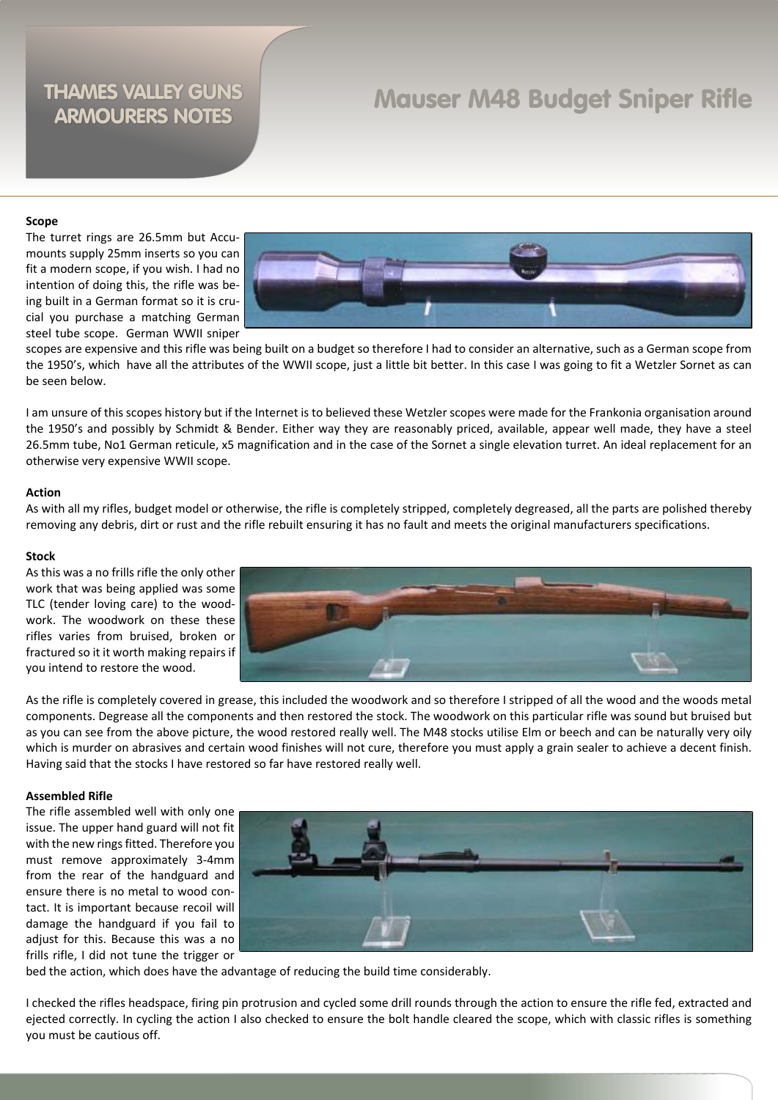## Mauser M48 Budget Sniper Rifle

#### **Scope**

The turret rings are 26.5mm but Accumounts supply 25mm inserts so you can fit a modern scope, if you wish. I had no intention of doing this, the rifle was being built in a German format so it is crucial you purchase a matching German steel tube scope. German WWII sniper



scopes are expensive and this rifle was being built on a budget so therefore I had to consider an alternative, such as a German scope from the 1950's, which have all the attributes of the WWII scope, just a little bit better. In this case I was going to fit a Wetzler Sornet as can be seen below.

I am unsure of this scopes history but if the Internet is to believed these Wetzler scopes were made for the Frankonia organisation around the 1950's and possibly by Schmidt & Bender. Either way they are reasonably priced, available, appear well made, they have a steel 26.5mm tube, No1 German reticule, x5 magnification and in the case of the Sornet a single elevation turret. An ideal replacement for an otherwise very expensive WWII scope.

#### **Action**

As with all my rifles, budget model or otherwise, the rifle is completely stripped, completely degreased, all the parts are polished thereby removing any debris, dirt or rust and the rifle rebuilt ensuring it has no fault and meets the original manufacturers specifications.

#### **Stock**

As this was a no frills rifle the only other work that was being applied was some TLC (tender loving care) to the woodwork. The woodwork on these these rifles varies from bruised, broken or fractured so it it worth making repairs if you intend to restore the wood.



As the rifle is completely covered in grease, this included the woodwork and so therefore I stripped of all the wood and the woods metal components. Degrease all the components and then restored the stock. The woodwork on this particular rifle was sound but bruised but as you can see from the above picture, the wood restored really well. The M48 stocks utilise Elm or beech and can be naturally very oily which is murder on abrasives and certain wood finishes will not cure, therefore you must apply a grain sealer to achieve a decent finish. Having said that the stocks I have restored so far have restored really well.

#### **Assembled Rifle**

The rifle assembled well with only one issue. The upper hand guard will not fit with the new rings fitted. Therefore you must remove approximately 3-4mm from the rear of the handguard and ensure there is no metal to wood contact. It is important because recoil will damage the handguard if you fail to adiust for this. Because this was a no frills rifle, I did not tune the trigger or



bed the action, which does have the advantage of reducing the build time considerably.

I checked the rifles headspace, firing pin protrusion and cycled some drill rounds through the action to ensure the rifle fed, extracted and ejected correctly. In cycling the action I also checked to ensure the bolt handle cleared the scope, which with classic rifles is something you must be cautious off.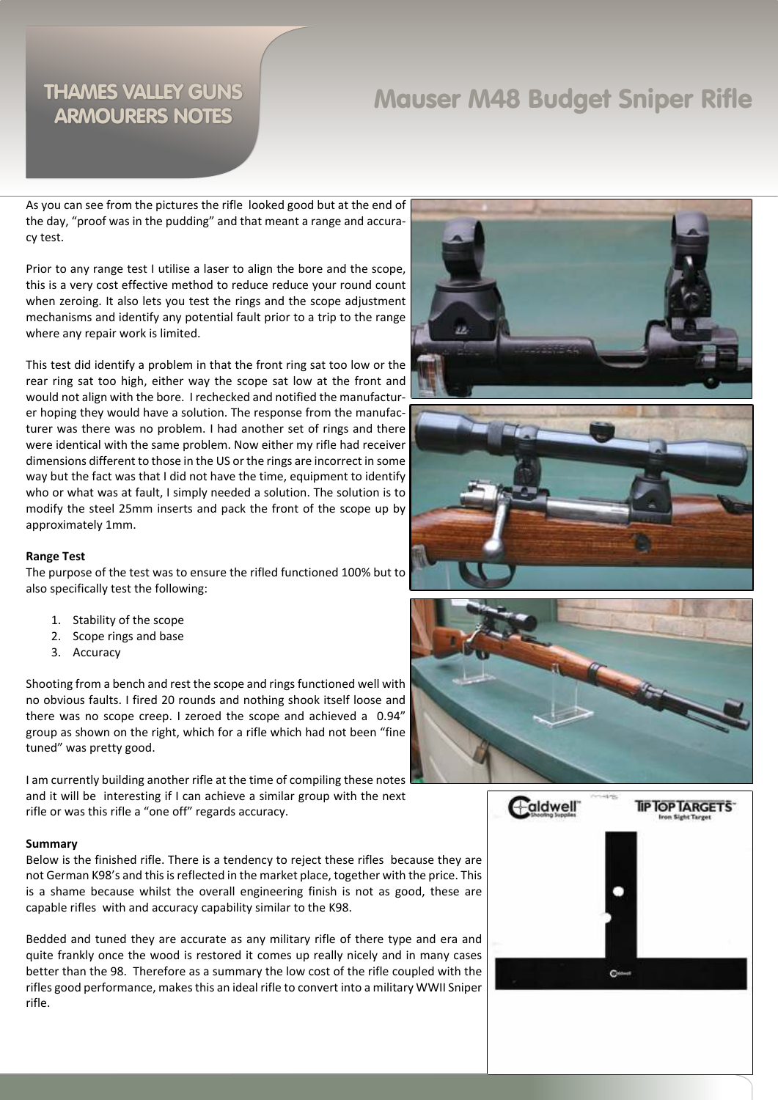## Mauser M48 Budget Sniper Rifle

As you can see from the pictures the rifle looked good but at the end of the day, "proof was in the pudding" and that meant a range and accuracy test.

Prior to any range test I utilise a laser to align the bore and the scope, this is a very cost effective method to reduce reduce your round count when zeroing. It also lets you test the rings and the scope adjustment mechanisms and identify any potential fault prior to a trip to the range where any repair work is limited.

This test did identify a problem in that the front ring sat too low or the rear ring sat too high, either way the scope sat low at the front and would not align with the bore. I rechecked and notified the manufacturer hoping they would have a solution. The response from the manufacturer was there was no problem. I had another set of rings and there were identical with the same problem. Now either my rifle had receiver dimensions different to those in the US or the rings are incorrect in some way but the fact was that I did not have the time, equipment to identify who or what was at fault, I simply needed a solution. The solution is to modify the steel 25mm inserts and pack the front of the scope up by approximately 1mm.

#### **Range Test**

The purpose of the test was to ensure the rifled functioned 100% but to also specifically test the following:

- 1. Stability of the scope
- 2. Scope rings and base
- 3. Accuracy

Shooting from a bench and rest the scope and rings functioned well with no obvious faults. I fired 20 rounds and nothing shook itself loose and there was no scope creep. I zeroed the scope and achieved a 0.94" group as shown on the right, which for a rifle which had not been "fine tuned" was pretty good.

I am currently building another rifle at the time of compiling these notes and it will be interesting if I can achieve a similar group with the next rifle or was this rifle a "one off" regards accuracy.

#### **Summary**

Below is the finished rifle. There is a tendency to reject these rifles because they are not German K98's and this is reflected in the market place, together with the price. This is a shame because whilst the overall engineering finish is not as good, these are capable rifles with and accuracy capability similar to the K98.

Bedded and tuned they are accurate as any military rifle of there type and era and quite frankly once the wood is restored it comes up really nicely and in many cases better than the 98. Therefore as a summary the low cost of the rifle coupled with the rifles good performance, makes this an ideal rifle to convert into a military WWII Sniper rifle.